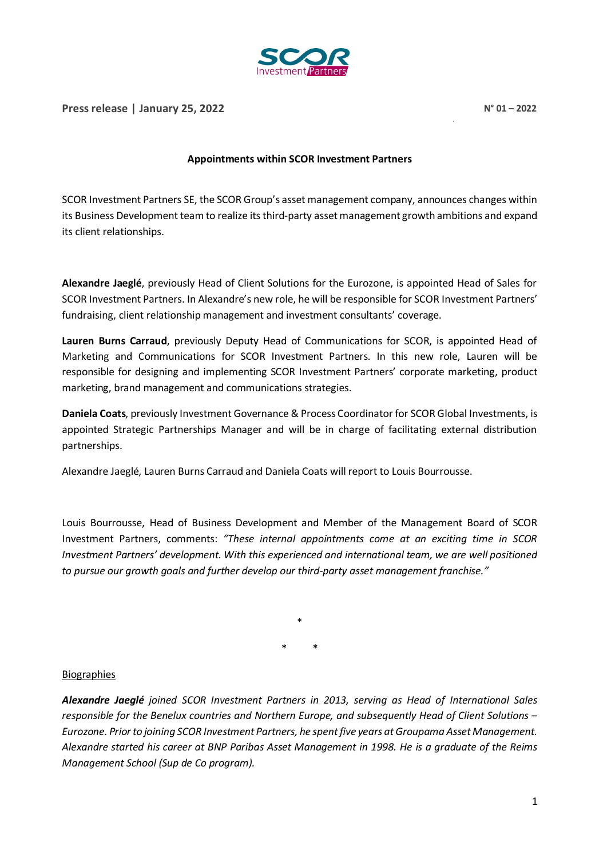

## **Appointments within SCOR Investment Partners**

SCOR Investment Partners SE, the SCOR Group's asset management company, announces changes within its Business Development team to realize its third-party asset management growth ambitions and expand its client relationships.

**Alexandre Jaeglé**, previously Head of Client Solutions for the Eurozone, is appointed Head of Sales for SCOR Investment Partners. In Alexandre's new role, he will be responsible for SCOR Investment Partners' fundraising, client relationship management and investment consultants' coverage.

**Lauren Burns Carraud**, previously Deputy Head of Communications for SCOR, is appointed Head of Marketing and Communications for SCOR Investment Partners. In this new role, Lauren will be responsible for designing and implementing SCOR Investment Partners' corporate marketing, product marketing, brand management and communications strategies.

**Daniela Coats**, previously Investment Governance & Process Coordinator for SCOR Global Investments, is appointed Strategic Partnerships Manager and will be in charge of facilitating external distribution partnerships.

Alexandre Jaeglé, Lauren Burns Carraud and Daniela Coats will report to Louis Bourrousse.

Louis Bourrousse, Head of Business Development and Member of the Management Board of SCOR Investment Partners, comments: *"These internal appointments come at an exciting time in SCOR Investment Partners' development. With this experienced and international team, we are well positioned to pursue our growth goals and further develop our third-party asset management franchise."*

> \* \* \*

## Biographies

*Alexandre Jaeglé joined SCOR Investment Partners in 2013, serving as Head of International Sales responsible for the Benelux countries and Northern Europe, and subsequently Head of Client Solutions – Eurozone. Prior to joining SCOR Investment Partners, he spent five years at Groupama Asset Management. Alexandre started his career at BNP Paribas Asset Management in 1998. He is a graduate of the Reims Management School (Sup de Co program).*